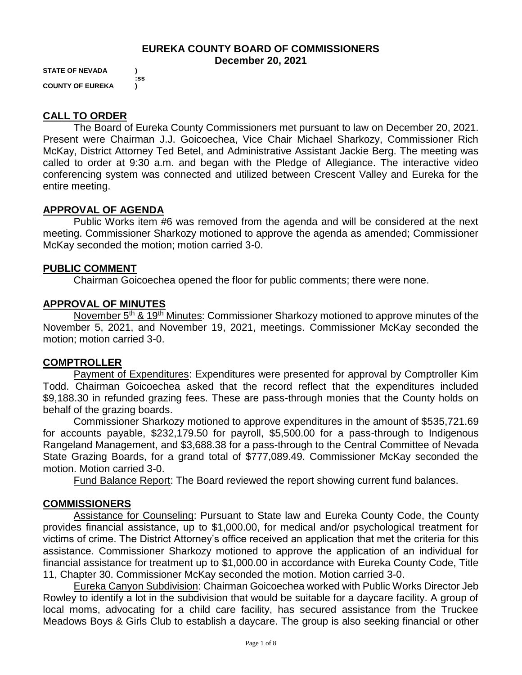## **EUREKA COUNTY BOARD OF COMMISSIONERS December 20, 2021**

**STATE OF NEVADA ) :ss COUNTY OF EUREKA )**

# **CALL TO ORDER**

The Board of Eureka County Commissioners met pursuant to law on December 20, 2021. Present were Chairman J.J. Goicoechea, Vice Chair Michael Sharkozy, Commissioner Rich McKay, District Attorney Ted Betel, and Administrative Assistant Jackie Berg. The meeting was called to order at 9:30 a.m. and began with the Pledge of Allegiance. The interactive video conferencing system was connected and utilized between Crescent Valley and Eureka for the entire meeting.

### **APPROVAL OF AGENDA**

Public Works item #6 was removed from the agenda and will be considered at the next meeting. Commissioner Sharkozy motioned to approve the agenda as amended; Commissioner McKay seconded the motion; motion carried 3-0.

### **PUBLIC COMMENT**

Chairman Goicoechea opened the floor for public comments; there were none.

### **APPROVAL OF MINUTES**

November 5<sup>th</sup> & 19<sup>th</sup> Minutes: Commissioner Sharkozy motioned to approve minutes of the November 5, 2021, and November 19, 2021, meetings. Commissioner McKay seconded the motion; motion carried 3-0.

#### **COMPTROLLER**

Payment of Expenditures: Expenditures were presented for approval by Comptroller Kim Todd. Chairman Goicoechea asked that the record reflect that the expenditures included \$9,188.30 in refunded grazing fees. These are pass-through monies that the County holds on behalf of the grazing boards.

Commissioner Sharkozy motioned to approve expenditures in the amount of \$535,721.69 for accounts payable, \$232,179.50 for payroll, \$5,500.00 for a pass-through to Indigenous Rangeland Management, and \$3,688.38 for a pass-through to the Central Committee of Nevada State Grazing Boards, for a grand total of \$777,089.49. Commissioner McKay seconded the motion. Motion carried 3-0.

Fund Balance Report: The Board reviewed the report showing current fund balances.

#### **COMMISSIONERS**

Assistance for Counseling: Pursuant to State law and Eureka County Code, the County provides financial assistance, up to \$1,000.00, for medical and/or psychological treatment for victims of crime. The District Attorney's office received an application that met the criteria for this assistance. Commissioner Sharkozy motioned to approve the application of an individual for financial assistance for treatment up to \$1,000.00 in accordance with Eureka County Code, Title 11, Chapter 30. Commissioner McKay seconded the motion. Motion carried 3-0.

Eureka Canyon Subdivision: Chairman Goicoechea worked with Public Works Director Jeb Rowley to identify a lot in the subdivision that would be suitable for a daycare facility. A group of local moms, advocating for a child care facility, has secured assistance from the Truckee Meadows Boys & Girls Club to establish a daycare. The group is also seeking financial or other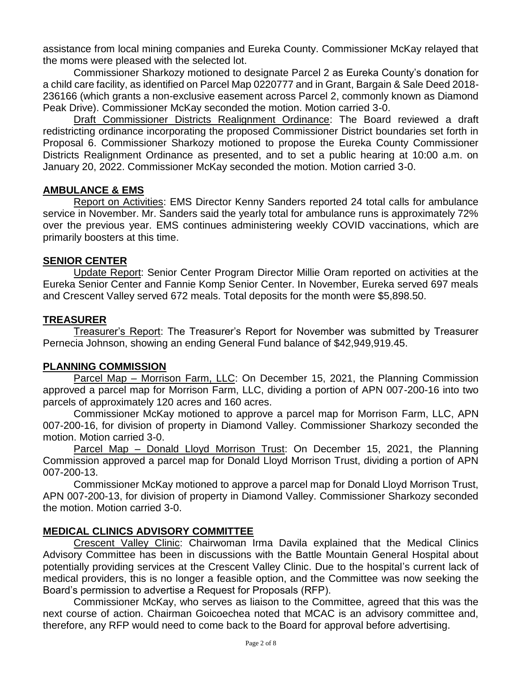assistance from local mining companies and Eureka County. Commissioner McKay relayed that the moms were pleased with the selected lot.

Commissioner Sharkozy motioned to designate Parcel 2 as Eureka County's donation for a child care facility, as identified on Parcel Map 0220777 and in Grant, Bargain & Sale Deed 2018- 236166 (which grants a non-exclusive easement across Parcel 2, commonly known as Diamond Peak Drive). Commissioner McKay seconded the motion. Motion carried 3-0.

Draft Commissioner Districts Realignment Ordinance: The Board reviewed a draft redistricting ordinance incorporating the proposed Commissioner District boundaries set forth in Proposal 6. Commissioner Sharkozy motioned to propose the Eureka County Commissioner Districts Realignment Ordinance as presented, and to set a public hearing at 10:00 a.m. on January 20, 2022. Commissioner McKay seconded the motion. Motion carried 3-0.

### **AMBULANCE & EMS**

Report on Activities: EMS Director Kenny Sanders reported 24 total calls for ambulance service in November. Mr. Sanders said the yearly total for ambulance runs is approximately 72% over the previous year. EMS continues administering weekly COVID vaccinations, which are primarily boosters at this time.

### **SENIOR CENTER**

Update Report: Senior Center Program Director Millie Oram reported on activities at the Eureka Senior Center and Fannie Komp Senior Center. In November, Eureka served 697 meals and Crescent Valley served 672 meals. Total deposits for the month were \$5,898.50.

### **TREASURER**

Treasurer's Report: The Treasurer's Report for November was submitted by Treasurer Pernecia Johnson, showing an ending General Fund balance of \$42,949,919.45.

#### **PLANNING COMMISSION**

Parcel Map – Morrison Farm, LLC: On December 15, 2021, the Planning Commission approved a parcel map for Morrison Farm, LLC, dividing a portion of APN 007-200-16 into two parcels of approximately 120 acres and 160 acres.

Commissioner McKay motioned to approve a parcel map for Morrison Farm, LLC, APN 007-200-16, for division of property in Diamond Valley. Commissioner Sharkozy seconded the motion. Motion carried 3-0.

Parcel Map – Donald Lloyd Morrison Trust: On December 15, 2021, the Planning Commission approved a parcel map for Donald Lloyd Morrison Trust, dividing a portion of APN 007-200-13.

Commissioner McKay motioned to approve a parcel map for Donald Lloyd Morrison Trust, APN 007-200-13, for division of property in Diamond Valley. Commissioner Sharkozy seconded the motion. Motion carried 3-0.

## **MEDICAL CLINICS ADVISORY COMMITTEE**

Crescent Valley Clinic: Chairwoman Irma Davila explained that the Medical Clinics Advisory Committee has been in discussions with the Battle Mountain General Hospital about potentially providing services at the Crescent Valley Clinic. Due to the hospital's current lack of medical providers, this is no longer a feasible option, and the Committee was now seeking the Board's permission to advertise a Request for Proposals (RFP).

Commissioner McKay, who serves as liaison to the Committee, agreed that this was the next course of action. Chairman Goicoechea noted that MCAC is an advisory committee and, therefore, any RFP would need to come back to the Board for approval before advertising.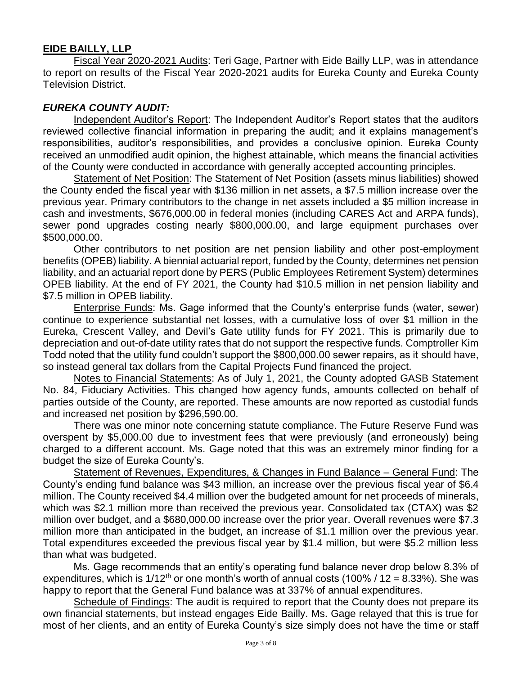# **EIDE BAILLY, LLP**

Fiscal Year 2020-2021 Audits: Teri Gage, Partner with Eide Bailly LLP, was in attendance to report on results of the Fiscal Year 2020-2021 audits for Eureka County and Eureka County Television District.

## *EUREKA COUNTY AUDIT:*

Independent Auditor's Report: The Independent Auditor's Report states that the auditors reviewed collective financial information in preparing the audit; and it explains management's responsibilities, auditor's responsibilities, and provides a conclusive opinion. Eureka County received an unmodified audit opinion, the highest attainable, which means the financial activities of the County were conducted in accordance with generally accepted accounting principles.

Statement of Net Position: The Statement of Net Position (assets minus liabilities) showed the County ended the fiscal year with \$136 million in net assets, a \$7.5 million increase over the previous year. Primary contributors to the change in net assets included a \$5 million increase in cash and investments, \$676,000.00 in federal monies (including CARES Act and ARPA funds), sewer pond upgrades costing nearly \$800,000.00, and large equipment purchases over \$500,000.00.

Other contributors to net position are net pension liability and other post-employment benefits (OPEB) liability. A biennial actuarial report, funded by the County, determines net pension liability, and an actuarial report done by PERS (Public Employees Retirement System) determines OPEB liability. At the end of FY 2021, the County had \$10.5 million in net pension liability and \$7.5 million in OPEB liability.

Enterprise Funds: Ms. Gage informed that the County's enterprise funds (water, sewer) continue to experience substantial net losses, with a cumulative loss of over \$1 million in the Eureka, Crescent Valley, and Devil's Gate utility funds for FY 2021. This is primarily due to depreciation and out-of-date utility rates that do not support the respective funds. Comptroller Kim Todd noted that the utility fund couldn't support the \$800,000.00 sewer repairs, as it should have, so instead general tax dollars from the Capital Projects Fund financed the project.

Notes to Financial Statements: As of July 1, 2021, the County adopted GASB Statement No. 84, Fiduciary Activities. This changed how agency funds, amounts collected on behalf of parties outside of the County, are reported. These amounts are now reported as custodial funds and increased net position by \$296,590.00.

There was one minor note concerning statute compliance. The Future Reserve Fund was overspent by \$5,000.00 due to investment fees that were previously (and erroneously) being charged to a different account. Ms. Gage noted that this was an extremely minor finding for a budget the size of Eureka County's.

Statement of Revenues, Expenditures, & Changes in Fund Balance – General Fund: The County's ending fund balance was \$43 million, an increase over the previous fiscal year of \$6.4 million. The County received \$4.4 million over the budgeted amount for net proceeds of minerals, which was \$2.1 million more than received the previous year. Consolidated tax (CTAX) was \$2 million over budget, and a \$680,000.00 increase over the prior year. Overall revenues were \$7.3 million more than anticipated in the budget, an increase of \$1.1 million over the previous year. Total expenditures exceeded the previous fiscal year by \$1.4 million, but were \$5.2 million less than what was budgeted.

Ms. Gage recommends that an entity's operating fund balance never drop below 8.3% of expenditures, which is  $1/12<sup>th</sup>$  or one month's worth of annual costs (100% / 12 = 8.33%). She was happy to report that the General Fund balance was at 337% of annual expenditures.

Schedule of Findings: The audit is required to report that the County does not prepare its own financial statements, but instead engages Eide Bailly. Ms. Gage relayed that this is true for most of her clients, and an entity of Eureka County's size simply does not have the time or staff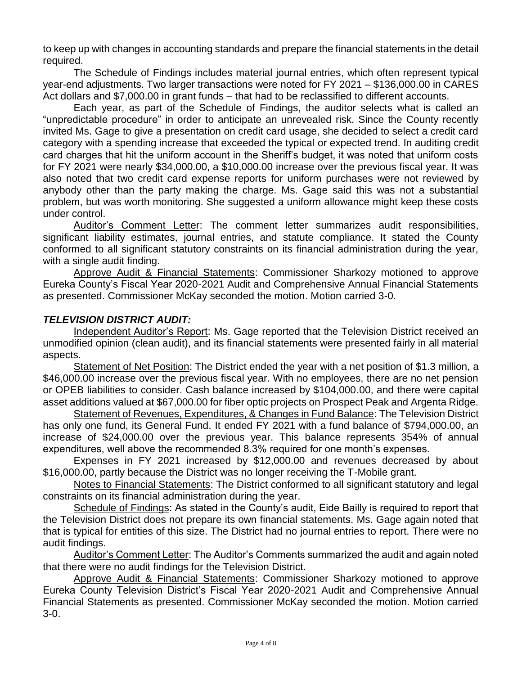to keep up with changes in accounting standards and prepare the financial statements in the detail required.

The Schedule of Findings includes material journal entries, which often represent typical year-end adjustments. Two larger transactions were noted for FY 2021 – \$136,000.00 in CARES Act dollars and \$7,000.00 in grant funds – that had to be reclassified to different accounts.

Each year, as part of the Schedule of Findings, the auditor selects what is called an "unpredictable procedure" in order to anticipate an unrevealed risk. Since the County recently invited Ms. Gage to give a presentation on credit card usage, she decided to select a credit card category with a spending increase that exceeded the typical or expected trend. In auditing credit card charges that hit the uniform account in the Sheriff's budget, it was noted that uniform costs for FY 2021 were nearly \$34,000.00, a \$10,000.00 increase over the previous fiscal year. It was also noted that two credit card expense reports for uniform purchases were not reviewed by anybody other than the party making the charge. Ms. Gage said this was not a substantial problem, but was worth monitoring. She suggested a uniform allowance might keep these costs under control.

Auditor's Comment Letter: The comment letter summarizes audit responsibilities, significant liability estimates, journal entries, and statute compliance. It stated the County conformed to all significant statutory constraints on its financial administration during the year, with a single audit finding.

Approve Audit & Financial Statements: Commissioner Sharkozy motioned to approve Eureka County's Fiscal Year 2020-2021 Audit and Comprehensive Annual Financial Statements as presented. Commissioner McKay seconded the motion. Motion carried 3-0.

# *TELEVISION DISTRICT AUDIT:*

Independent Auditor's Report: Ms. Gage reported that the Television District received an unmodified opinion (clean audit), and its financial statements were presented fairly in all material aspects.

Statement of Net Position: The District ended the year with a net position of \$1.3 million, a \$46,000.00 increase over the previous fiscal year. With no employees, there are no net pension or OPEB liabilities to consider. Cash balance increased by \$104,000.00, and there were capital asset additions valued at \$67,000.00 for fiber optic projects on Prospect Peak and Argenta Ridge.

Statement of Revenues, Expenditures, & Changes in Fund Balance: The Television District has only one fund, its General Fund. It ended FY 2021 with a fund balance of \$794,000.00, an increase of \$24,000.00 over the previous year. This balance represents 354% of annual expenditures, well above the recommended 8.3% required for one month's expenses.

Expenses in FY 2021 increased by \$12,000.00 and revenues decreased by about \$16,000.00, partly because the District was no longer receiving the T-Mobile grant.

Notes to Financial Statements: The District conformed to all significant statutory and legal constraints on its financial administration during the year.

Schedule of Findings: As stated in the County's audit, Eide Bailly is required to report that the Television District does not prepare its own financial statements. Ms. Gage again noted that that is typical for entities of this size. The District had no journal entries to report. There were no audit findings.

Auditor's Comment Letter: The Auditor's Comments summarized the audit and again noted that there were no audit findings for the Television District.

Approve Audit & Financial Statements: Commissioner Sharkozy motioned to approve Eureka County Television District's Fiscal Year 2020-2021 Audit and Comprehensive Annual Financial Statements as presented. Commissioner McKay seconded the motion. Motion carried 3-0.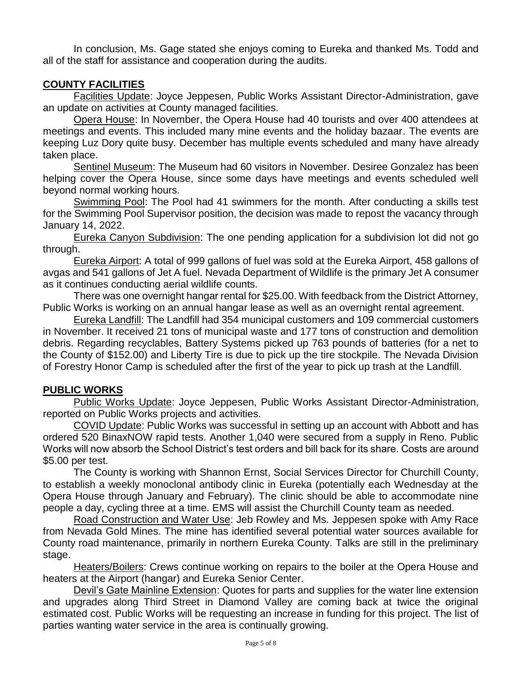In conclusion, Ms. Gage stated she enjoys coming to Eureka and thanked Ms. Todd and all of the staff for assistance and cooperation during the audits.

# **COUNTY FACILITIES**

Facilities Update: Joyce Jeppesen, Public Works Assistant Director-Administration, gave an update on activities at County managed facilities.

Opera House: In November, the Opera House had 40 tourists and over 400 attendees at meetings and events. This included many mine events and the holiday bazaar. The events are keeping Luz Dory quite busy. December has multiple events scheduled and many have already taken place.

Sentinel Museum: The Museum had 60 visitors in November. Desiree Gonzalez has been helping cover the Opera House, since some days have meetings and events scheduled well beyond normal working hours.

Swimming Pool: The Pool had 41 swimmers for the month. After conducting a skills test for the Swimming Pool Supervisor position, the decision was made to repost the vacancy through January 14, 2022.

Eureka Canyon Subdivision: The one pending application for a subdivision lot did not go through.

Eureka Airport: A total of 999 gallons of fuel was sold at the Eureka Airport, 458 gallons of avgas and 541 gallons of Jet A fuel. Nevada Department of Wildlife is the primary Jet A consumer as it continues conducting aerial wildlife counts.

There was one overnight hangar rental for \$25.00. With feedback from the District Attorney, Public Works is working on an annual hangar lease as well as an overnight rental agreement.

Eureka Landfill: The Landfill had 354 municipal customers and 109 commercial customers in November. It received 21 tons of municipal waste and 177 tons of construction and demolition debris. Regarding recyclables, Battery Systems picked up 763 pounds of batteries (for a net to the County of \$152.00) and Liberty Tire is due to pick up the tire stockpile. The Nevada Division of Forestry Honor Camp is scheduled after the first of the year to pick up trash at the Landfill.

## **PUBLIC WORKS**

Public Works Update: Joyce Jeppesen, Public Works Assistant Director-Administration, reported on Public Works projects and activities.

COVID Update: Public Works was successful in setting up an account with Abbott and has ordered 520 BinaxNOW rapid tests. Another 1,040 were secured from a supply in Reno. Public Works will now absorb the School District's test orders and bill back for its share. Costs are around \$5.00 per test.

The County is working with Shannon Ernst, Social Services Director for Churchill County, to establish a weekly monoclonal antibody clinic in Eureka (potentially each Wednesday at the Opera House through January and February). The clinic should be able to accommodate nine people a day, cycling three at a time. EMS will assist the Churchill County team as needed.

Road Construction and Water Use: Jeb Rowley and Ms. Jeppesen spoke with Amy Race from Nevada Gold Mines. The mine has identified several potential water sources available for County road maintenance, primarily in northern Eureka County. Talks are still in the preliminary stage.

Heaters/Boilers: Crews continue working on repairs to the boiler at the Opera House and heaters at the Airport (hangar) and Eureka Senior Center.

Devil's Gate Mainline Extension: Quotes for parts and supplies for the water line extension and upgrades along Third Street in Diamond Valley are coming back at twice the original estimated cost. Public Works will be requesting an increase in funding for this project. The list of parties wanting water service in the area is continually growing.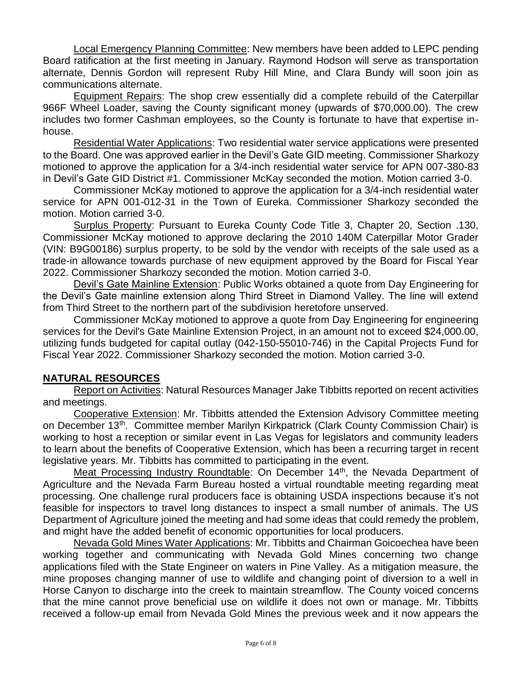Local Emergency Planning Committee: New members have been added to LEPC pending Board ratification at the first meeting in January. Raymond Hodson will serve as transportation alternate, Dennis Gordon will represent Ruby Hill Mine, and Clara Bundy will soon join as communications alternate.

Equipment Repairs: The shop crew essentially did a complete rebuild of the Caterpillar 966F Wheel Loader, saving the County significant money (upwards of \$70,000.00). The crew includes two former Cashman employees, so the County is fortunate to have that expertise inhouse.

Residential Water Applications: Two residential water service applications were presented to the Board. One was approved earlier in the Devil's Gate GID meeting. Commissioner Sharkozy motioned to approve the application for a 3/4-inch residential water service for APN 007-380-83 in Devil's Gate GID District #1. Commissioner McKay seconded the motion. Motion carried 3-0.

Commissioner McKay motioned to approve the application for a 3/4-inch residential water service for APN 001-012-31 in the Town of Eureka. Commissioner Sharkozy seconded the motion. Motion carried 3-0.

Surplus Property: Pursuant to Eureka County Code Title 3, Chapter 20, Section .130, Commissioner McKay motioned to approve declaring the 2010 140M Caterpillar Motor Grader (VIN: B9G00186) surplus property, to be sold by the vendor with receipts of the sale used as a trade-in allowance towards purchase of new equipment approved by the Board for Fiscal Year 2022. Commissioner Sharkozy seconded the motion. Motion carried 3-0.

Devil's Gate Mainline Extension: Public Works obtained a quote from Day Engineering for the Devil's Gate mainline extension along Third Street in Diamond Valley. The line will extend from Third Street to the northern part of the subdivision heretofore unserved.

Commissioner McKay motioned to approve a quote from Day Engineering for engineering services for the Devil's Gate Mainline Extension Project, in an amount not to exceed \$24,000.00, utilizing funds budgeted for capital outlay (042-150-55010-746) in the Capital Projects Fund for Fiscal Year 2022. Commissioner Sharkozy seconded the motion. Motion carried 3-0.

## **NATURAL RESOURCES**

Report on Activities: Natural Resources Manager Jake Tibbitts reported on recent activities and meetings.

Cooperative Extension: Mr. Tibbitts attended the Extension Advisory Committee meeting on December 13<sup>th</sup>. Committee member Marilyn Kirkpatrick (Clark County Commission Chair) is working to host a reception or similar event in Las Vegas for legislators and community leaders to learn about the benefits of Cooperative Extension, which has been a recurring target in recent legislative years. Mr. Tibbitts has committed to participating in the event.

Meat Processing Industry Roundtable: On December 14<sup>th</sup>, the Nevada Department of Agriculture and the Nevada Farm Bureau hosted a virtual roundtable meeting regarding meat processing. One challenge rural producers face is obtaining USDA inspections because it's not feasible for inspectors to travel long distances to inspect a small number of animals. The US Department of Agriculture joined the meeting and had some ideas that could remedy the problem, and might have the added benefit of economic opportunities for local producers.

Nevada Gold Mines Water Applications: Mr. Tibbitts and Chairman Goicoechea have been working together and communicating with Nevada Gold Mines concerning two change applications filed with the State Engineer on waters in Pine Valley. As a mitigation measure, the mine proposes changing manner of use to wildlife and changing point of diversion to a well in Horse Canyon to discharge into the creek to maintain streamflow. The County voiced concerns that the mine cannot prove beneficial use on wildlife it does not own or manage. Mr. Tibbitts received a follow-up email from Nevada Gold Mines the previous week and it now appears the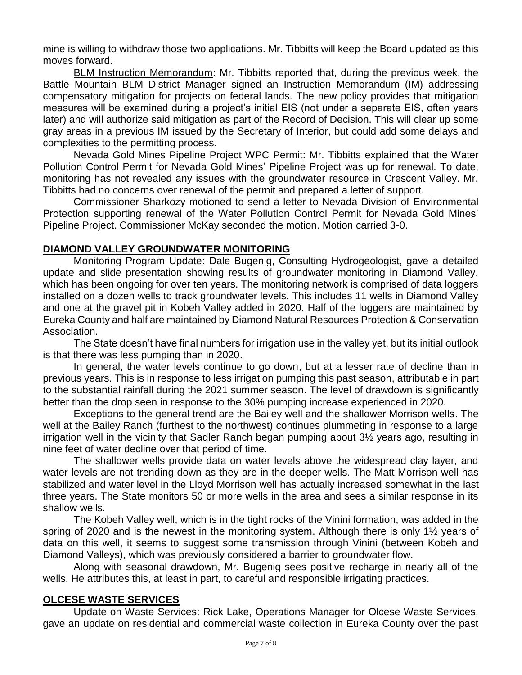mine is willing to withdraw those two applications. Mr. Tibbitts will keep the Board updated as this moves forward.

BLM Instruction Memorandum: Mr. Tibbitts reported that, during the previous week, the Battle Mountain BLM District Manager signed an Instruction Memorandum (IM) addressing compensatory mitigation for projects on federal lands. The new policy provides that mitigation measures will be examined during a project's initial EIS (not under a separate EIS, often years later) and will authorize said mitigation as part of the Record of Decision. This will clear up some gray areas in a previous IM issued by the Secretary of Interior, but could add some delays and complexities to the permitting process.

Nevada Gold Mines Pipeline Project WPC Permit: Mr. Tibbitts explained that the Water Pollution Control Permit for Nevada Gold Mines' Pipeline Project was up for renewal. To date, monitoring has not revealed any issues with the groundwater resource in Crescent Valley. Mr. Tibbitts had no concerns over renewal of the permit and prepared a letter of support.

Commissioner Sharkozy motioned to send a letter to Nevada Division of Environmental Protection supporting renewal of the Water Pollution Control Permit for Nevada Gold Mines' Pipeline Project. Commissioner McKay seconded the motion. Motion carried 3-0.

## **DIAMOND VALLEY GROUNDWATER MONITORING**

Monitoring Program Update: Dale Bugenig, Consulting Hydrogeologist, gave a detailed update and slide presentation showing results of groundwater monitoring in Diamond Valley, which has been ongoing for over ten years. The monitoring network is comprised of data loggers installed on a dozen wells to track groundwater levels. This includes 11 wells in Diamond Valley and one at the gravel pit in Kobeh Valley added in 2020. Half of the loggers are maintained by Eureka County and half are maintained by Diamond Natural Resources Protection & Conservation Association.

The State doesn't have final numbers for irrigation use in the valley yet, but its initial outlook is that there was less pumping than in 2020.

In general, the water levels continue to go down, but at a lesser rate of decline than in previous years. This is in response to less irrigation pumping this past season, attributable in part to the substantial rainfall during the 2021 summer season. The level of drawdown is significantly better than the drop seen in response to the 30% pumping increase experienced in 2020.

Exceptions to the general trend are the Bailey well and the shallower Morrison wells. The well at the Bailey Ranch (furthest to the northwest) continues plummeting in response to a large irrigation well in the vicinity that Sadler Ranch began pumping about 3½ years ago, resulting in nine feet of water decline over that period of time.

The shallower wells provide data on water levels above the widespread clay layer, and water levels are not trending down as they are in the deeper wells. The Matt Morrison well has stabilized and water level in the Lloyd Morrison well has actually increased somewhat in the last three years. The State monitors 50 or more wells in the area and sees a similar response in its shallow wells.

The Kobeh Valley well, which is in the tight rocks of the Vinini formation, was added in the spring of 2020 and is the newest in the monitoring system. Although there is only 1½ years of data on this well, it seems to suggest some transmission through Vinini (between Kobeh and Diamond Valleys), which was previously considered a barrier to groundwater flow.

Along with seasonal drawdown, Mr. Bugenig sees positive recharge in nearly all of the wells. He attributes this, at least in part, to careful and responsible irrigating practices.

## **OLCESE WASTE SERVICES**

Update on Waste Services: Rick Lake, Operations Manager for Olcese Waste Services, gave an update on residential and commercial waste collection in Eureka County over the past